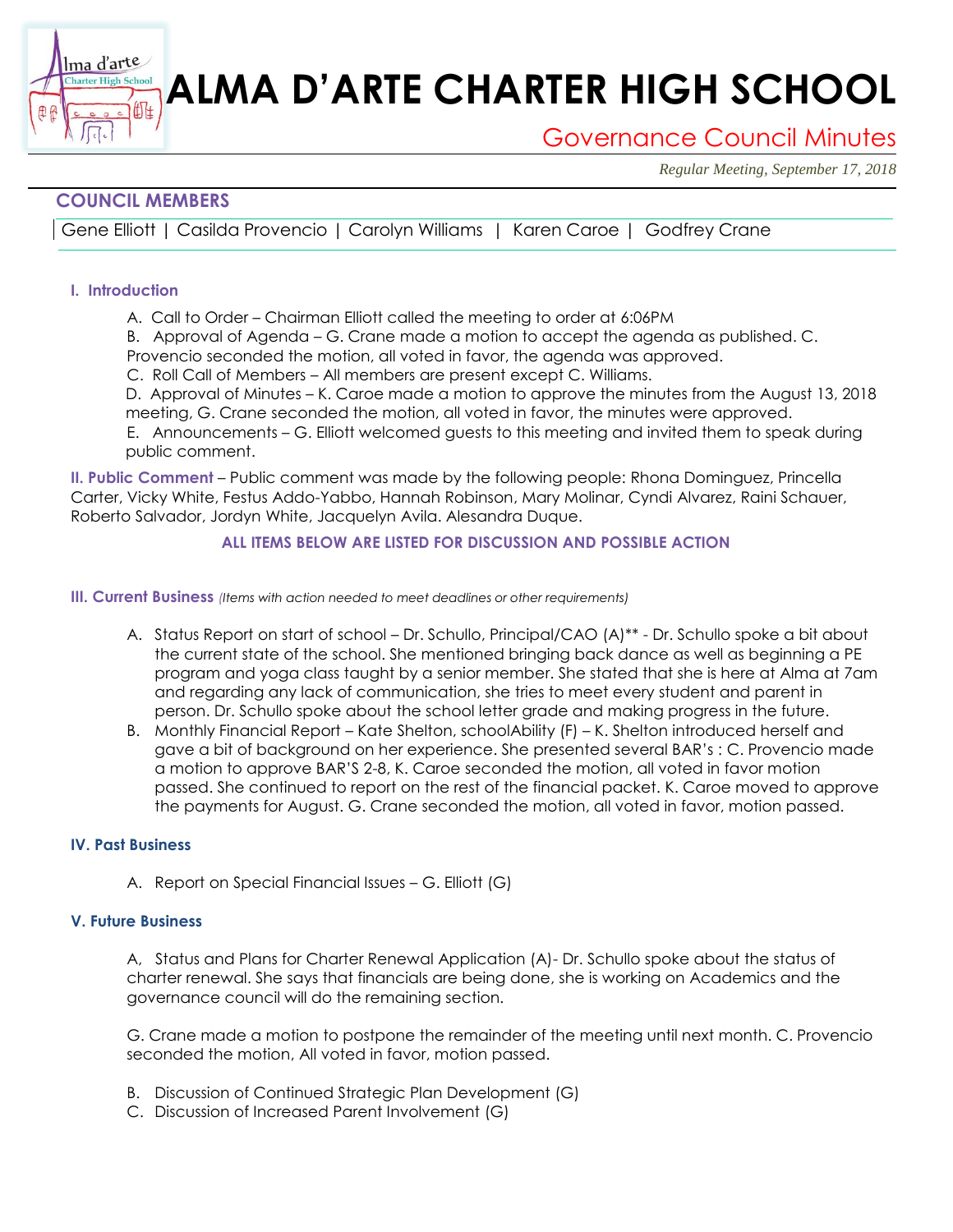# **ALMA D'ARTE CHARTER HIGH SCHOOL**

# Governance Council Minutes

*Regular Meeting, September 17, 2018*

## **COUNCIL MEMBERS**

衄

Gene Elliott | Casilda Provencio | Carolyn Williams | Karen Caroe | Godfrey Crane

#### **I. Introduction**

Ima d'arte **harter High School** 

A. Call to Order – Chairman Elliott called the meeting to order at 6:06PM

B. Approval of Agenda – G. Crane made a motion to accept the agenda as published. C.

Provencio seconded the motion, all voted in favor, the agenda was approved.

C. Roll Call of Members – All members are present except C. Williams.

D. Approval of Minutes – K. Caroe made a motion to approve the minutes from the August 13, 2018 meeting, G. Crane seconded the motion, all voted in favor, the minutes were approved.

E. Announcements – G. Elliott welcomed guests to this meeting and invited them to speak during public comment.

**II. Public Comment** – Public comment was made by the following people: Rhona Dominguez, Princella Carter, Vicky White, Festus Addo-Yabbo, Hannah Robinson, Mary Molinar, Cyndi Alvarez, Raini Schauer, Roberto Salvador, Jordyn White, Jacquelyn Avila. Alesandra Duque.

#### **ALL ITEMS BELOW ARE LISTED FOR DISCUSSION AND POSSIBLE ACTION**

#### **III. Current Business** *(Items with action needed to meet deadlines or other requirements)*

- A. Status Report on start of school Dr. Schullo, Principal/CAO (A)\*\* Dr. Schullo spoke a bit about the current state of the school. She mentioned bringing back dance as well as beginning a PE program and yoga class taught by a senior member. She stated that she is here at Alma at 7am and regarding any lack of communication, she tries to meet every student and parent in person. Dr. Schullo spoke about the school letter grade and making progress in the future.
- B. Monthly Financial Report Kate Shelton, schoolAbility (F) K. Shelton introduced herself and gave a bit of background on her experience. She presented several BAR's : C. Provencio made a motion to approve BAR'S 2-8, K. Caroe seconded the motion, all voted in favor motion passed. She continued to report on the rest of the financial packet. K. Caroe moved to approve the payments for August. G. Crane seconded the motion, all voted in favor, motion passed.

#### **IV. Past Business**

A. Report on Special Financial Issues – G. Elliott (G)

#### **V. Future Business**

A, Status and Plans for Charter Renewal Application (A)- Dr. Schullo spoke about the status of charter renewal. She says that financials are being done, she is working on Academics and the governance council will do the remaining section.

G. Crane made a motion to postpone the remainder of the meeting until next month. C. Provencio seconded the motion, All voted in favor, motion passed.

- B. Discussion of Continued Strategic Plan Development (G)
- C. Discussion of Increased Parent Involvement (G)